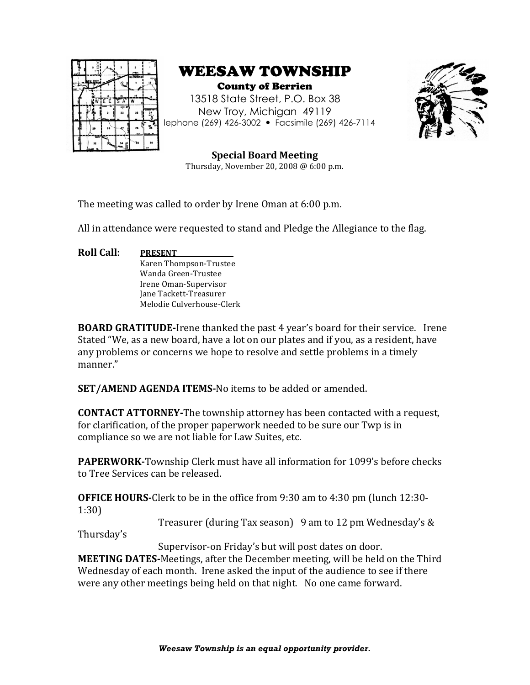





**Special Board Meeting** Thursday, November 20, 2008  $@$  6:00 p.m.

The meeting was called to order by Irene Oman at 6:00 p.m.

All in attendance were requested to stand and Pledge the Allegiance to the flag.

**Roll Call**: **PRESENT** Karen Thompson-Trustee Wanda Green-Trustee Irene Oman-Supervisor Jane Tackett-Treasurer Melodie Culverhouse-Clerk

**BOARD GRATITUDE-Irene thanked the past 4 year's board for their service. Irene** Stated "We, as a new board, have a lot on our plates and if you, as a resident, have any problems or concerns we hope to resolve and settle problems in a timely manner."

**SET/AMEND AGENDA ITEMS-No items to be added or amended.** 

**CONTACT ATTORNEY-**The township attorney has been contacted with a request, for clarification, of the proper paperwork needed to be sure our Twp is in compliance so we are not liable for Law Suites, etc.

**PAPERWORK-**Township Clerk must have all information for 1099's before checks to Tree Services can be released

**OFFICE HOURS-**Clerk to be in the office from 9:30 am to 4:30 pm (lunch 12:30-1:30)

Treasurer (during Tax season) 9 am to 12 pm Wednesday's  $&$ 

Thursday's

Supervisor-on Friday's but will post dates on door.

**MEETING DATES-**Meetings, after the December meeting, will be held on the Third Wednesday of each month. Irene asked the input of the audience to see if there were any other meetings being held on that night. No one came forward.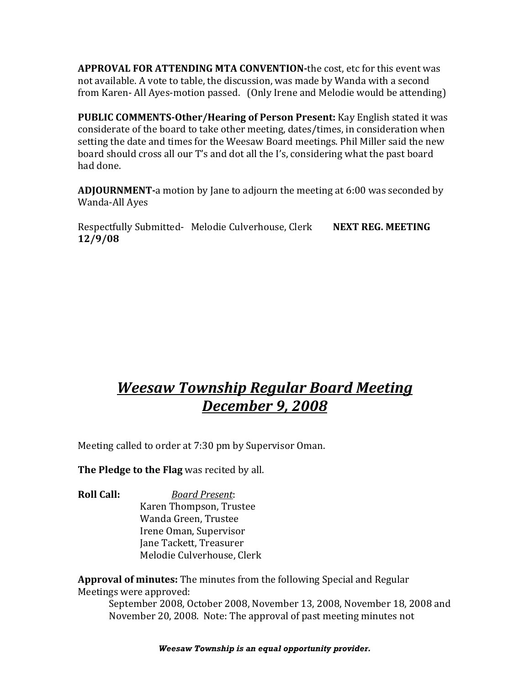**APPROVAL FOR ATTENDING MTA CONVENTION-the cost, etc for this event was** not available. A vote to table, the discussion, was made by Wanda with a second from Karen- All Ayes-motion passed. (Only Irene and Melodie would be attending)

**PUBLIC COMMENTS-Other/Hearing of Person Present:** Kay English stated it was considerate of the board to take other meeting, dates/times, in consideration when setting the date and times for the Weesaw Board meetings. Phil Miller said the new board should cross all our T's and dot all the I's, considering what the past board had done.

**ADJOURNMENT-a** motion by Jane to adjourn the meeting at 6:00 was seconded by Wanda-All Ayes

Respectfully Submitted- Melodie Culverhouse, Clerk NEXT REG. MEETING **12/9/08**

# *Weesaw Township Regular Board Meeting December 9, 2008*

Meeting called to order at 7:30 pm by Supervisor Oman.

**The Pledge to the Flag** was recited by all.

**Roll Call:** *Board Present:* Karen Thompson, Trustee Wanda Green, Trustee Irene Oman, Supervisor

Jane Tackett, Treasurer Melodie Culverhouse, Clerk

**Approval of minutes:** The minutes from the following Special and Regular Meetings were approved:

September 2008, October 2008, November 13, 2008, November 18, 2008 and November 20, 2008. Note: The approval of past meeting minutes not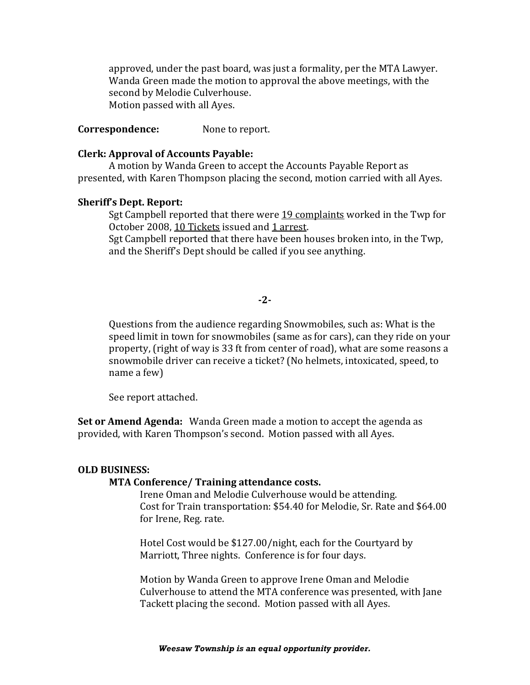approved, under the past board, was just a formality, per the MTA Lawyer. Wanda Green made the motion to approval the above meetings, with the second by Melodie Culverhouse. Motion passed with all Ayes.

**Correspondence:** None to report.

#### **Clerk: Approval of Accounts Payable:**

A motion by Wanda Green to accept the Accounts Payable Report as presented, with Karen Thompson placing the second, motion carried with all Ayes.

### **Sheriff's Dept. Report:**

Sgt Campbell reported that there were 19 complaints worked in the Twp for October 2008, 10 Tickets issued and 1 arrest.

Sgt Campbell reported that there have been houses broken into, in the Twp. and the Sheriff's Dept should be called if you see anything.

# **-2-**

Questions from the audience regarding Snowmobiles, such as: What is the speed limit in town for snowmobiles (same as for cars), can they ride on your property, (right of way is 33 ft from center of road), what are some reasons a snowmobile driver can receive a ticket? (No helmets, intoxicated, speed, to name a few)

See report attached.

**Set or Amend Agenda:** Wanda Green made a motion to accept the agenda as provided, with Karen Thompson's second. Motion passed with all Ayes.

#### **OLD BUSINESS:**

#### **MTA Conference/ Training attendance costs.**

Irene Oman and Melodie Culverhouse would be attending. Cost for Train transportation: \$54.40 for Melodie, Sr. Rate and \$64.00 for Irene, Reg. rate.

Hotel Cost would be \$127.00/night, each for the Courtyard by Marriott, Three nights. Conference is for four days.

Motion by Wanda Green to approve Irene Oman and Melodie Culverhouse to attend the MTA conference was presented, with Jane Tackett placing the second. Motion passed with all Ayes.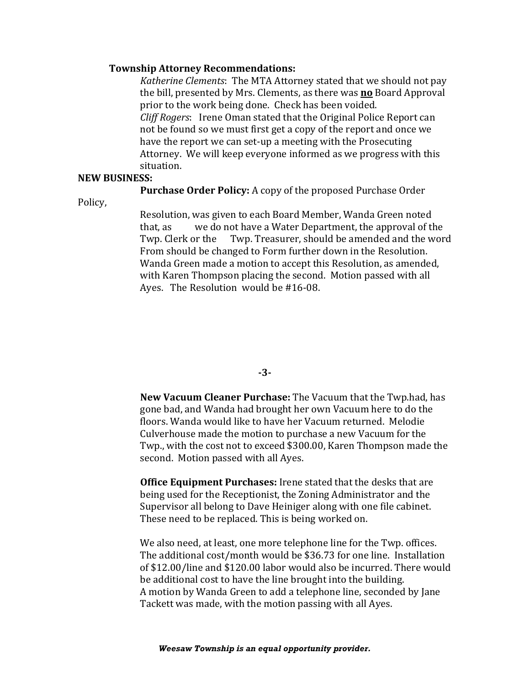## **Township Attorney Recommendations:**

*Katherine Clements*: The MTA Attorney stated that we should not pay the bill, presented by Mrs. Clements, as there was **no** Board Approval prior to the work being done. Check has been voided. *Cliff Rogers*: Irene Oman stated that the Original Police Report can not be found so we must first get a copy of the report and once we have the report we can set-up a meeting with the Prosecuting Attorney. We will keep everyone informed as we progress with this situation.

### **NEW BUSINESS:**

## **Purchase Order Policy:** A copy of the proposed Purchase Order

Policy,

Resolution, was given to each Board Member, Wanda Green noted that, as we do not have a Water Department, the approval of the Twp. Clerk or the Twp. Treasurer, should be amended and the word From should be changed to Form further down in the Resolution. Wanda Green made a motion to accept this Resolution, as amended, with Karen Thompson placing the second. Motion passed with all Ayes. The Resolution would be  $#16-08$ .

**-3-**

**New Vacuum Cleaner Purchase:** The Vacuum that the Twp.had, has gone bad, and Wanda had brought her own Vacuum here to do the floors. Wanda would like to have her Vacuum returned. Melodie Culverhouse made the motion to purchase a new Vacuum for the Twp., with the cost not to exceed \$300.00, Karen Thompson made the second. Motion passed with all Ayes.

**Office Equipment Purchases:** Irene stated that the desks that are being used for the Receptionist, the Zoning Administrator and the Supervisor all belong to Dave Heiniger along with one file cabinet. These need to be replaced. This is being worked on.

We also need, at least, one more telephone line for the Twp. offices. The additional cost/month would be \$36.73 for one line. Installation of \$12.00/line and \$120.00 labor would also be incurred. There would be additional cost to have the line brought into the building. A motion by Wanda Green to add a telephone line, seconded by Jane Tackett was made, with the motion passing with all Ayes.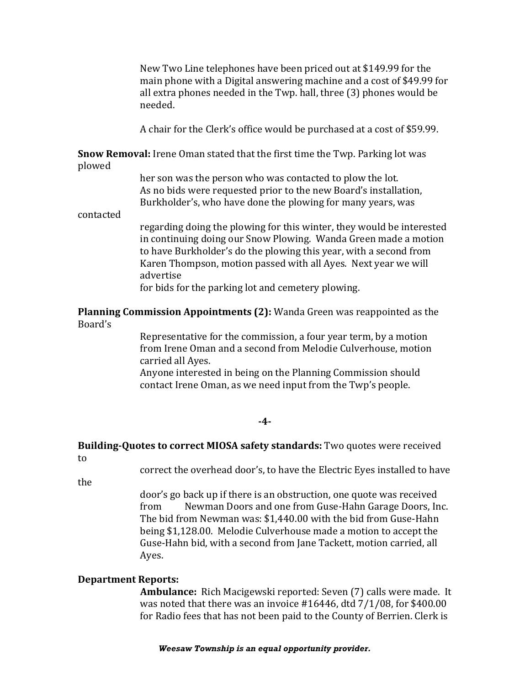New Two Line telephones have been priced out at \$149.99 for the main phone with a Digital answering machine and a cost of \$49.99 for all extra phones needed in the Twp. hall, three  $(3)$  phones would be needed.

A chair for the Clerk's office would be purchased at a cost of \$59.99.

**Snow Removal:** Irene Oman stated that the first time the Twp. Parking lot was plowed 

> her son was the person who was contacted to plow the lot. As no bids were requested prior to the new Board's installation, Burkholder's, who have done the plowing for many years, was

contacted 

regarding doing the plowing for this winter, they would be interested in continuing doing our Snow Plowing. Wanda Green made a motion to have Burkholder's do the plowing this year, with a second from Karen Thompson, motion passed with all Ayes. Next year we will advertise 

for bids for the parking lot and cemetery plowing.

**Planning Commission Appointments (2):** Wanda Green was reappointed as the Board's

> Representative for the commission, a four year term, by a motion from Irene Oman and a second from Melodie Culverhouse, motion carried all Aves.

Anyone interested in being on the Planning Commission should contact Irene Oman, as we need input from the Twp's people.

#### **-4-**

# **Building-Quotes to correct MIOSA safety standards:** Two quotes were received to

correct the overhead door's, to have the Electric Eyes installed to have

the 

door's go back up if there is an obstruction, one quote was received from Newman Doors and one from Guse-Hahn Garage Doors, Inc. The bid from Newman was: \$1,440.00 with the bid from Guse-Hahn being \$1,128.00. Melodie Culverhouse made a motion to accept the Guse-Hahn bid, with a second from Jane Tackett, motion carried, all Ayes.

# **Department Reports:**

**Ambulance:** Rich Macigewski reported: Seven (7) calls were made. It was noted that there was an invoice  $\#16446$ , dtd  $7/1/08$ , for \$400.00 for Radio fees that has not been paid to the County of Berrien. Clerk is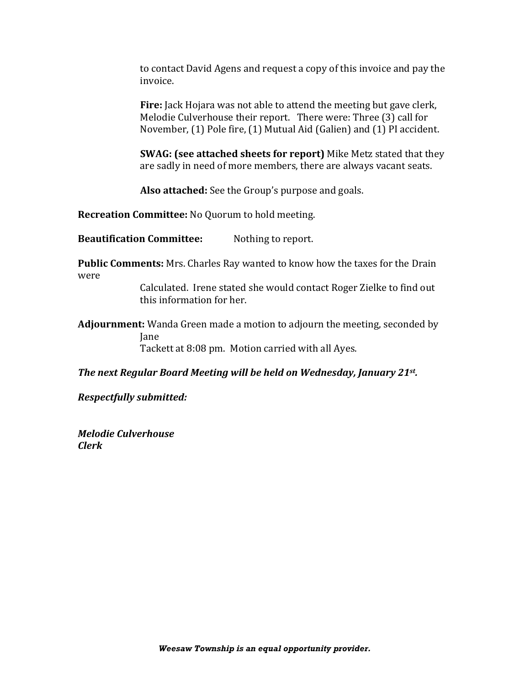to contact David Agens and request a copy of this invoice and pay the invoice.

**Fire:** Jack Hojara was not able to attend the meeting but gave clerk, Melodie Culverhouse their report. There were: Three (3) call for November, (1) Pole fire, (1) Mutual Aid (Galien) and (1) PI accident.

**SWAG:** (see attached sheets for report) Mike Metz stated that they are sadly in need of more members, there are always vacant seats.

Also attached: See the Group's purpose and goals.

**Recreation Committee:** No Quorum to hold meeting.

**Beautification Committee:** Nothing to report.

**Public Comments:** Mrs. Charles Ray wanted to know how the taxes for the Drain were

> Calculated. Irene stated she would contact Roger Zielke to find out this information for her.

**Adjournment:** Wanda Green made a motion to adjourn the meeting, seconded by Jane Tackett at 8:08 pm. Motion carried with all Ayes.

*The next Regular Board Meeting will be held on Wednesday, January 21st.* 

**Respectfully submitted:** 

*Melodie Culverhouse Clerk*